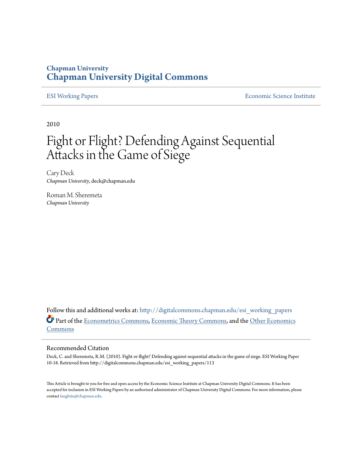# **Chapman University [Chapman University Digital Commons](http://digitalcommons.chapman.edu?utm_source=digitalcommons.chapman.edu%2Fesi_working_papers%2F113&utm_medium=PDF&utm_campaign=PDFCoverPages)**

[ESI Working Papers](http://digitalcommons.chapman.edu/esi_working_papers?utm_source=digitalcommons.chapman.edu%2Fesi_working_papers%2F113&utm_medium=PDF&utm_campaign=PDFCoverPages) **[Economic Science Institute](http://digitalcommons.chapman.edu/esi?utm_source=digitalcommons.chapman.edu%2Fesi_working_papers%2F113&utm_medium=PDF&utm_campaign=PDFCoverPages)** 

2010

# Fight or Flight? Defending Against Sequential Attacks in the Game of Siege

Cary Deck *Chapman University*, deck@chapman.edu

Roman M. Sheremeta *Chapman University*

Follow this and additional works at: [http://digitalcommons.chapman.edu/esi\\_working\\_papers](http://digitalcommons.chapman.edu/esi_working_papers?utm_source=digitalcommons.chapman.edu%2Fesi_working_papers%2F113&utm_medium=PDF&utm_campaign=PDFCoverPages) Part of the [Econometrics Commons,](http://network.bepress.com/hgg/discipline/342?utm_source=digitalcommons.chapman.edu%2Fesi_working_papers%2F113&utm_medium=PDF&utm_campaign=PDFCoverPages) [Economic Theory Commons](http://network.bepress.com/hgg/discipline/344?utm_source=digitalcommons.chapman.edu%2Fesi_working_papers%2F113&utm_medium=PDF&utm_campaign=PDFCoverPages), and the [Other Economics](http://network.bepress.com/hgg/discipline/353?utm_source=digitalcommons.chapman.edu%2Fesi_working_papers%2F113&utm_medium=PDF&utm_campaign=PDFCoverPages) [Commons](http://network.bepress.com/hgg/discipline/353?utm_source=digitalcommons.chapman.edu%2Fesi_working_papers%2F113&utm_medium=PDF&utm_campaign=PDFCoverPages)

#### Recommended Citation

Deck, C. and Sheremeta, R.M. (2010). Fight or flight? Defending against sequential attacks in the game of siege. ESI Working Paper 10-18. Retrieved from http://digitalcommons.chapman.edu/esi\_working\_papers/113

This Article is brought to you for free and open access by the Economic Science Institute at Chapman University Digital Commons. It has been accepted for inclusion in ESI Working Papers by an authorized administrator of Chapman University Digital Commons. For more information, please contact [laughtin@chapman.edu](mailto:laughtin@chapman.edu).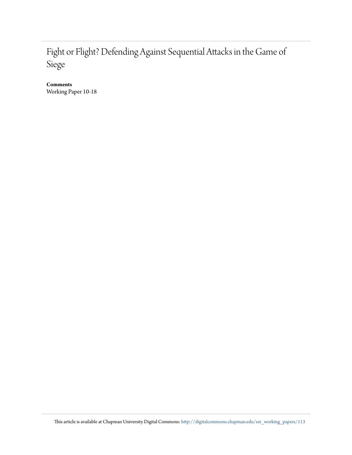# Fight or Flight? Defending Against Sequential Attacks in the Game of Siege

**Comments**

Working Paper 10-18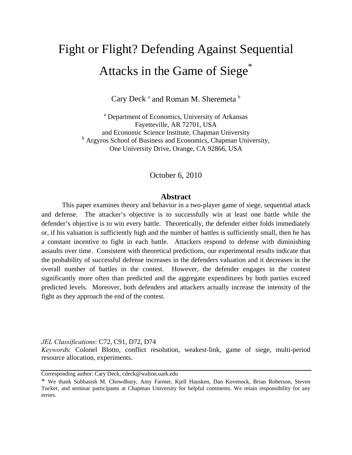# Fight or Flight? Defending Against Sequential Attacks in the Game of Siege<sup>\*</sup>

Cary Deck<sup>a</sup> and Roman M. Sheremeta<sup>b</sup>

<sup>a</sup> Department of Economics, University of Arkansas Fayetteville, AR 72701, USA and Economic Science Institute, Chapman University <sup>b</sup> Argyros School of Business and Economics, Chapman University, One University Drive, Orange, CA 92866, USA

October 6, 2010

#### **Abstract**

This paper examines theory and behavior in a two-player game of siege, sequential attack and defense. The attacker's objective is to successfully win at least one battle while the defender's objective is to win every battle. Theoretically, the defender either folds immediately or, if his valuation is sufficiently high and the number of battles is sufficiently small, then he has a constant incentive to fight in each battle. Attackers respond to defense with diminishing assaults over time. Consistent with theoretical predictions, our experimental results indicate that the probability of successful defense increases in the defenders valuation and it decreases in the overall number of battles in the contest. However, the defender engages in the contest significantly more often than predicted and the aggregate expenditures by both parties exceed predicted levels. Moreover, both defenders and attackers actually increase the intensity of the fight as they approach the end of the contest.

*JEL Classifications*: C72, C91, D72, D74

*Keyword*s: Colonel Blotto, conflict resolution, weakest-link, game of siege, multi-period resource allocation, experiments.

Corresponding author: Cary Deck, cdeck@walton.uark.edu

<sup>\*</sup> We thank Subhasish M. Chowdhury, Amy Farmer, Kjell Hausken, Dan Kovenock, Brian Roberson, Steven Tucker, and seminar participants at Chapman University for helpful comments. We retain responsibility for any errors.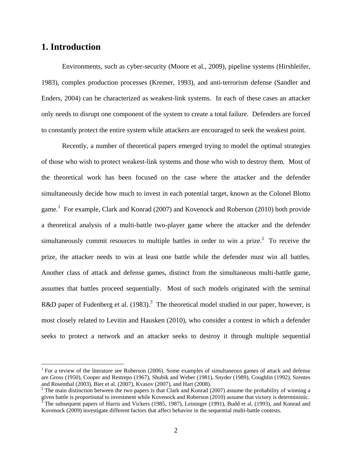# **1. Introduction**

 $\overline{a}$ 

Environments, such as cyber-security (Moore et al., 2009), pipeline systems (Hirshleifer, 1983), complex production processes (Kremer, 1993), and anti-terrorism defense (Sandler and Enders, 2004) can be characterized as weakest-link systems. In each of these cases an attacker only needs to disrupt one component of the system to create a total failure. Defenders are forced to constantly protect the entire system while attackers are encouraged to seek the weakest point.

Recently, a number of theoretical papers emerged trying to model the optimal strategies of those who wish to protect weakest-link systems and those who wish to destroy them. Most of the theoretical work has been focused on the case where the attacker and the defender simultaneously decide how much to invest in each potential target, known as the Colonel Blotto game.<sup>1</sup> For example, Clark and Konrad (2007) and Kovenock and Roberson (2010) both provide a theoretical analysis of a multi-battle two-player game where the attacker and the defender simultaneously commit resources to multiple battles in order to win a prize. $2$  To receive the prize, the attacker needs to win at least one battle while the defender must win all battles. Another class of attack and defense games, distinct from the simultaneous multi-battle game, assumes that battles proceed sequentially. Most of such models originated with the seminal R&D paper of Fudenberg et al.  $(1983)$ .<sup>3</sup> The theoretical model studied in our paper, however, is most closely related to Levitin and Hausken (2010), who consider a contest in which a defender seeks to protect a network and an attacker seeks to destroy it through multiple sequential

<sup>&</sup>lt;sup>1</sup> For a review of the literature see Roberson (2006). Some examples of simultaneous games of attack and defense are Gross (1950), Cooper and Restrepo (1967), Shubik and Weber (1981), Snyder (1989), Coughlin (1992), Szentes and Rosenthal (2003), Bier et al. (2007), Kvasov (2007), and Hart (2008).

<sup>&</sup>lt;sup>2</sup> The main distinction between the two papers is that Clark and Konrad (2007) assume the probability of winning a given battle is proportional to investment while Kovenock and Roberson (2010) assume that victory is deterministic.<br><sup>3</sup> The subsequent papers of Harris and Vickers (1985, 1987), Leininger (1991), Budd et al. (1993), and Ko

Kovenock (2009) investigate different factors that affect behavior in the sequential multi-battle contests.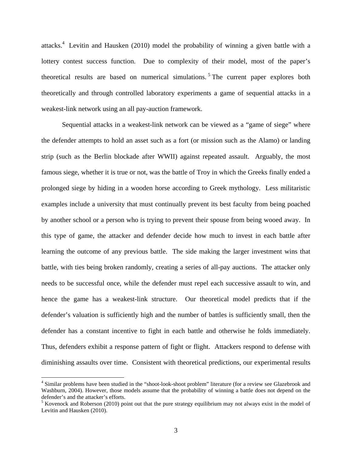attacks.<sup>4</sup> Levitin and Hausken (2010) model the probability of winning a given battle with a lottery contest success function. Due to complexity of their model, most of the paper's theoretical results are based on numerical simulations.<sup>5</sup> The current paper explores both theoretically and through controlled laboratory experiments a game of sequential attacks in a weakest-link network using an all pay-auction framework.

Sequential attacks in a weakest-link network can be viewed as a "game of siege" where the defender attempts to hold an asset such as a fort (or mission such as the Alamo) or landing strip (such as the Berlin blockade after WWII) against repeated assault. Arguably, the most famous siege, whether it is true or not, was the battle of Troy in which the Greeks finally ended a prolonged siege by hiding in a wooden horse according to Greek mythology. Less militaristic examples include a university that must continually prevent its best faculty from being poached by another school or a person who is trying to prevent their spouse from being wooed away. In this type of game, the attacker and defender decide how much to invest in each battle after learning the outcome of any previous battle. The side making the larger investment wins that battle, with ties being broken randomly, creating a series of all-pay auctions. The attacker only needs to be successful once, while the defender must repel each successive assault to win, and hence the game has a weakest-link structure. Our theoretical model predicts that if the defender's valuation is sufficiently high and the number of battles is sufficiently small, then the defender has a constant incentive to fight in each battle and otherwise he folds immediately. Thus, defenders exhibit a response pattern of fight or flight. Attackers respond to defense with diminishing assaults over time. Consistent with theoretical predictions, our experimental results

 $\overline{a}$ 

<sup>&</sup>lt;sup>4</sup> Similar problems have been studied in the "shoot-look-shoot problem" literature (for a review see Glazebrook and Washburn, 2004). However, those models assume that the probability of winning a battle does not depend on the defender's and the attacker's efforts.

 $<sup>5</sup>$  Kovenock and Roberson (2010) point out that the pure strategy equilibrium may not always exist in the model of</sup> Levitin and Hausken (2010).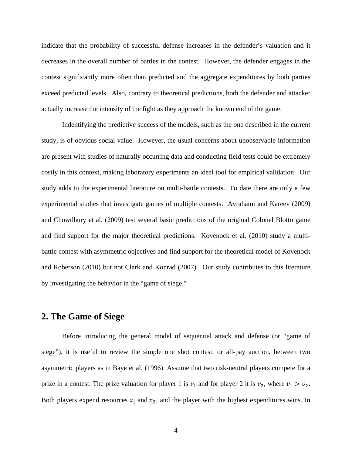indicate that the probability of successful defense increases in the defender's valuation and it decreases in the overall number of battles in the contest. However, the defender engages in the contest significantly more often than predicted and the aggregate expenditures by both parties exceed predicted levels. Also, contrary to theoretical predictions, both the defender and attacker actually increase the intensity of the fight as they approach the known end of the game.

Indentifying the predictive success of the models, such as the one described in the current study, is of obvious social value. However, the usual concerns about unobservable information are present with studies of naturally occurring data and conducting field tests could be extremely costly in this context, making laboratory experiments an ideal tool for empirical validation. Our study adds to the experimental literature on multi-battle contests. To date there are only a few experimental studies that investigate games of multiple contests. Avrahami and Kareev (2009) and Chowdhury et al. (2009) test several basic predictions of the original Colonel Blotto game and find support for the major theoretical predictions. Kovenock et al. (2010) study a multibattle contest with asymmetric objectives and find support for the theoretical model of Kovenock and Roberson (2010) but not Clark and Konrad (2007). Our study contributes to this literature by investigating the behavior in the "game of siege."

#### **2. The Game of Siege**

Before introducing the general model of sequential attack and defense (or "game of siege"), it is useful to review the simple one shot contest, or all-pay auction, between two asymmetric players as in Baye et al. (1996). Assume that two risk-neutral players compete for a prize in a contest. The prize valuation for player 1 is  $v_1$  and for player 2 it is  $v_2$ , where  $v_1 > v_2$ . Both players expend resources  $x_1$  and  $x_2$ , and the player with the highest expenditures wins. In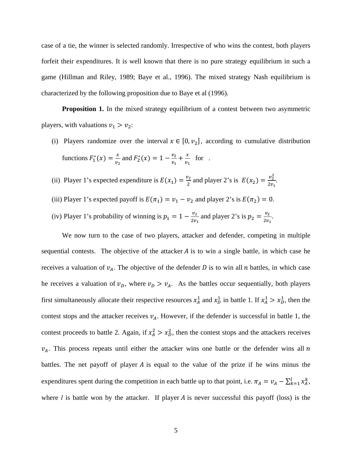case of a tie, the winner is selected randomly. Irrespective of who wins the contest, both players forfeit their expenditures. It is well known that there is no pure strategy equilibrium in such a game (Hillman and Riley, 1989; Baye et al., 1996). The mixed strategy Nash equilibrium is characterized by the following proposition due to Baye et al (1996).

**Proposition 1.** In the mixed strategy equilibrium of a contest between two asymmetric players, with valuations  $v_1 > v_2$ :

- (i) Players randomize over the interval  $x \in [0, \nu_2]$ , according to cumulative distribution functions  $F_1^*(x) = \frac{x}{v_2}$  and  $F_2^*(x) = 1 - \frac{v_2}{v_1} + \frac{x}{v_1}$  for.
- (ii) Player 1's expected expenditure is  $E(x_1) = \frac{v_2}{2}$  and player 2's is  $E(x_2) = \frac{v_2^2}{2v_1}$  $rac{v_2}{2v_1}$ . (iii) Player 1's expected payoff is  $E(\pi_1) = v_1 - v_2$  and player 2's is  $E(\pi_2) = 0$ . (iv) Player 1's probability of winning is  $p_1 = 1 - \frac{v_2}{2v_1}$  and player 2's is  $p_2 = \frac{v_2}{2v_1}$ .

We now turn to the case of two players, attacker and defender, competing in multiple sequential contests. The objective of the attacker  $A$  is to win a single battle, in which case he receives a valuation of  $v_A$ . The objective of the defender D is to win all n battles, in which case he receives a valuation of  $v_D$ , where  $v_D > v_A$ . As the battles occur sequentially, both players first simultaneously allocate their respective resources  $x_A^1$  and  $x_D^1$  in battle 1. If  $x_A^1 > x_D^1$ , then the contest stops and the attacker receives  $v_A$ . However, if the defender is successful in battle 1, the contest proceeds to battle 2. Again, if  $x_A^2 > x_D^2$ , then the contest stops and the attackers receives  $v_A$ . This process repeats until either the attacker wins one battle or the defender wins all n battles. The net payoff of player  $A$  is equal to the value of the prize if he wins minus the expenditures spent during the competition in each battle up to that point, i.e.  $\pi_A = v_A - \sum_{k=1}^{l} x_A^k$ , where  $l$  is battle won by the attacker. If player  $A$  is never successful this payoff (loss) is the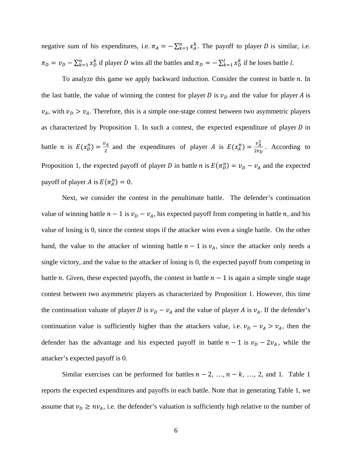negative sum of his expenditures, i.e.  $\pi_A = -\sum_{k=1}^n x_A^k$ . The payoff to player *D* is similar, i.e.  $\pi_D = v_D - \sum_{k=1}^n x_D^k$  if player *D* wins all the battles and  $\pi_D = -\sum_{k=1}^l x_D^k$  if he loses battle *l*.

To analyze this game we apply backward induction. Consider the contest in battle  $n$ . In the last battle, the value of winning the contest for player D is  $v<sub>D</sub>$  and the value for player A is  $v_A$ , with  $v_D > v_A$ . Therefore, this is a simple one-stage contest between two asymmetric players as characterized by Proposition 1. In such a contest, the expected expenditure of player  $D$  in battle *n* is  $E(x_0^n) = \frac{v_A}{2}$  and the expenditures of player *A* is  $E(x_A^n) = \frac{v_A^2}{2v_B}$  $\frac{v_A}{2v_B}$ . According to Proposition 1, the expected payoff of player *D* in battle *n* is  $E(\pi_D^n) = v_D - v_A$  and the expected payoff of player A is  $E(\pi_A^n) = 0$ .

Next, we consider the contest in the penultimate battle. The defender's continuation value of winning battle  $n-1$  is  $v_D - v_A$ , his expected payoff from competing in battle n, and his value of losing is 0, since the contest stops if the attacker wins even a single battle. On the other hand, the value to the attacker of winning battle  $n-1$  is  $\nu_A$ , since the attacker only needs a single victory, and the value to the attacker of losing is 0, the expected payoff from competing in battle *n*. Given, these expected payoffs, the contest in battle  $n - 1$  is again a simple single stage contest between two asymmetric players as characterized by Proposition 1. However, this time the continuation valuate of player D is  $v_D - v_A$  and the value of player A is  $v_A$ . If the defender's continuation value is sufficiently higher than the attackers value, i.e.  $v_D - v_A > v_A$ , then the defender has the advantage and his expected payoff in battle  $n-1$  is  $v_D - 2v_A$ , while the attacker's expected payoff is 0.

Similar exercises can be performed for battles  $n-2, ..., n-k, ..., 2$ , and 1. Table 1 reports the expected expenditures and payoffs in each battle. Note that in generating Table 1, we assume that  $v_D \geq nv_A$ , i.e. the defender's valuation is sufficiently high relative to the number of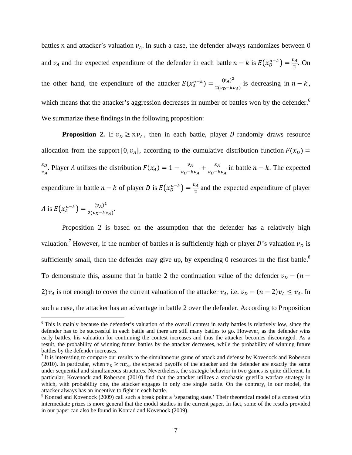battles *n* and attacker's valuation  $v_A$ . In such a case, the defender always randomizes between 0 and  $v_A$  and the expected expenditure of the defender in each battle  $n - k$  is  $E(x_D^{n-k}) = \frac{v_A}{2}$ . On the other hand, the expenditure of the attacker  $E(x_A^{n-k}) = \frac{(v_A)^2}{2(v_B - kv_A)}$  is decreasing in  $n - k$ , which means that the attacker's aggression decreases in number of battles won by the defender.<sup>6</sup> We summarize these findings in the following proposition:

**Proposition 2.** If  $v_D \geq nv_A$ , then in each battle, player D randomly draws resource allocation from the support [0,  $v_A$ ], according to the cumulative distribution function  $F(x_D)$  =  $x_D$  $\frac{x_D}{v_A}$ . Player A utilizes the distribution  $F(x_A) = 1 - \frac{v_A}{v_D - k v_A} + \frac{x_A}{v_D - k v_A}$  in battle  $n - k$ . The expected expenditure in battle  $n - k$  of player D is  $E(x_D^{n-k}) = \frac{v_A}{2}$  and the expected expenditure of player

A is 
$$
E(x_A^{n-k}) = \frac{(v_A)^2}{2(v_D - kv_A)}
$$
.

 $\overline{a}$ 

Proposition 2 is based on the assumption that the defender has a relatively high valuation.<sup>7</sup> However, if the number of battles *n* is sufficiently high or player *D*'s valuation  $v<sub>D</sub>$  is sufficiently small, then the defender may give up, by expending 0 resources in the first battle.<sup>8</sup> To demonstrate this, assume that in battle 2 the continuation value of the defender  $v_D$  –  $(n -$ 2) $v_A$  is not enough to cover the current valuation of the attacker  $v_A$ , i.e.  $v_D - (n-2)v_A \le v_A$ . In such a case, the attacker has an advantage in battle 2 over the defender. According to Proposition

<sup>&</sup>lt;sup>6</sup> This is mainly because the defender's valuation of the overall contest in early battles is relatively low, since the defender has to be successful in each battle and there are still many battles to go. However, as the defender wins early battles, his valuation for continuing the contest increases and thus the attacker becomes discouraged. As a result, the probability of winning future battles by the attacker decreases, while the probability of winning future battles by the defender increases.

 $<sup>7</sup>$  It is interesting to compare our results to the simultaneous game of attack and defense by Kovenock and Roberson</sup> (2010). In particular, when  $v_D \ge nv_A$ , the expected payoffs of the attacker and the defender are exactly the same under sequential and simultaneous structures. Nevertheless, the strategic behavior in two games is quite different. In particular, Kovenock and Roberson (2010) find that the attacker utilizes a stochastic guerilla warfare strategy in which, with probability one, the attacker engages in only one single battle. On the contrary, in our model, the attacker always has an incentive to fight in each battle.

<sup>&</sup>lt;sup>8</sup> Konrad and Kovenock (2009) call such a break point a 'separating state.' Their theoretical model of a contest with intermediate prizes is more general that the model studies in the current paper. In fact, some of the results provided in our paper can also be found in Konrad and Kovenock (2009).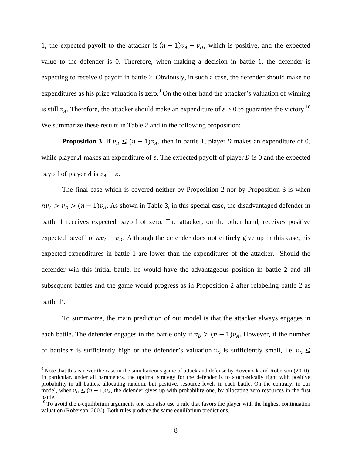1, the expected payoff to the attacker is  $(n-1)v_A - v_D$ , which is positive, and the expected value to the defender is 0. Therefore, when making a decision in battle 1, the defender is expecting to receive 0 payoff in battle 2. Obviously, in such a case, the defender should make no expenditures as his prize valuation is zero.  $9^{\circ}$  On the other hand the attacker's valuation of winning is still  $v_A$ . Therefore, the attacker should make an expenditure of  $\varepsilon > 0$  to guarantee the victory.<sup>10</sup> We summarize these results in Table 2 and in the following proposition:

**Proposition 3.** If  $v_D \leq (n-1)v_A$ , then in battle 1, player D makes an expenditure of 0, while player A makes an expenditure of  $\varepsilon$ . The expected payoff of player D is 0 and the expected payoff of player A is  $v_A - \varepsilon$ .

The final case which is covered neither by Proposition 2 nor by Proposition 3 is when  $nv_A > v_D > (n-1)v_A$ . As shown in Table 3, in this special case, the disadvantaged defender in battle 1 receives expected payoff of zero. The attacker, on the other hand, receives positive expected payoff of  $nv_A - v_D$ . Although the defender does not entirely give up in this case, his expected expenditures in battle 1 are lower than the expenditures of the attacker. Should the defender win this initial battle, he would have the advantageous position in battle 2 and all subsequent battles and the game would progress as in Proposition 2 after relabeling battle 2 as battle 1'.

To summarize, the main prediction of our model is that the attacker always engages in each battle. The defender engages in the battle only if  $v_D > (n-1)v_A$ . However, if the number of battles *n* is sufficiently high or the defender's valuation  $v_D$  is sufficiently small, i.e.  $v_D \leq$ 

1

 $9$  Note that this is never the case in the simultaneous game of attack and defense by Kovenock and Roberson (2010). In particular, under all parameters, the optimal strategy for the defender is to stochastically fight with positive probability in all battles, allocating random, but positive, resource levels in each battle. On the contrary, in our model, when  $v_D \le (n-1)v_A$ , the defender gives up with probability one, by allocating zero resources in the first battle.

<sup>&</sup>lt;sup>10</sup> To avoid the  $\varepsilon$ -equilibrium arguments one can also use a rule that favors the player with the highest continuation valuation (Roberson, 2006). Both rules produce the same equilibrium predictions.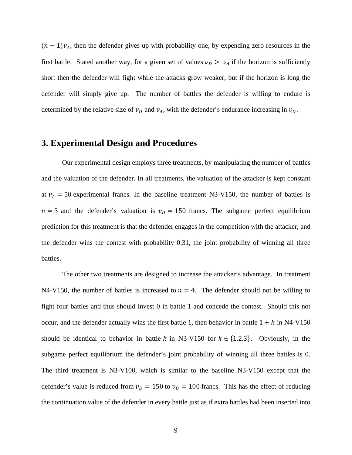$(n - 1)v<sub>A</sub>$ , then the defender gives up with probability one, by expending zero resources in the first battle. Stated another way, for a given set of values  $v_D > v_A$  if the horizon is sufficiently short then the defender will fight while the attacks grow weaker, but if the horizon is long the defender will simply give up. The number of battles the defender is willing to endure is determined by the relative size of  $v<sub>D</sub>$  and  $v<sub>A</sub>$ , with the defender's endurance increasing in  $v<sub>D</sub>$ .

## **3. Experimental Design and Procedures**

Our experimental design employs three treatments, by manipulating the number of battles and the valuation of the defender. In all treatments, the valuation of the attacker is kept constant at  $v_A = 50$  experimental francs. In the baseline treatment N3-V150, the number of battles is  $n = 3$  and the defender's valuation is  $v_D = 150$  francs. The subgame perfect equilibrium prediction for this treatment is that the defender engages in the competition with the attacker, and the defender wins the contest with probability 0.31, the joint probability of winning all three battles.

The other two treatments are designed to increase the attacker's advantage. In treatment N4-V150, the number of battles is increased to  $n = 4$ . The defender should not be willing to fight four battles and thus should invest 0 in battle 1 and concede the contest. Should this not occur, and the defender actually wins the first battle 1, then behavior in battle  $1 + k$  in N4-V150 should be identical to behavior in battle k in N3-V150 for  $k \in \{1,2,3\}$ . Obviously, in the subgame perfect equilibrium the defender's joint probability of winning all three battles is 0. The third treatment is N3-V100, which is similar to the baseline N3-V150 except that the defender's value is reduced from  $v_D = 150$  to  $v_D = 100$  francs. This has the effect of reducing the continuation value of the defender in every battle just as if extra battles had been inserted into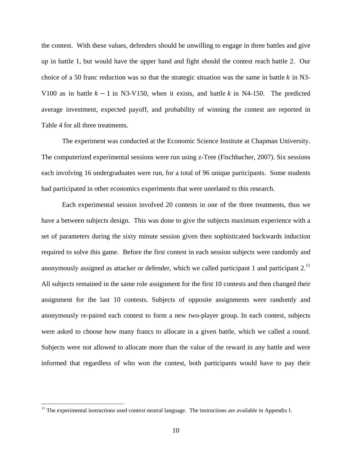the contest. With these values, defenders should be unwilling to engage in three battles and give up in battle 1, but would have the upper hand and fight should the contest reach battle 2. Our choice of a 50 franc reduction was so that the strategic situation was the same in battle  $k$  in N3-V100 as in battle  $k - 1$  in N3-V150, when it exists, and battle k in N4-150. The predicted average investment, expected payoff, and probability of winning the contest are reported in Table 4 for all three treatments.

The experiment was conducted at the Economic Science Institute at Chapman University. The computerized experimental sessions were run using z-Tree (Fischbacher, 2007). Six sessions each involving 16 undergraduates were run, for a total of 96 unique participants. Some students had participated in other economics experiments that were unrelated to this research.

Each experimental session involved 20 contests in one of the three treatments, thus we have a between subjects design. This was done to give the subjects maximum experience with a set of parameters during the sixty minute session given then sophisticated backwards induction required to solve this game. Before the first contest in each session subjects were randomly and anonymously assigned as attacker or defender, which we called participant 1 and participant 2.<sup>11</sup> All subjects remained in the same role assignment for the first 10 contests and then changed their assignment for the last 10 contests. Subjects of opposite assignments were randomly and anonymously re-paired each contest to form a new two-player group. In each contest, subjects were asked to choose how many francs to allocate in a given battle, which we called a round. Subjects were not allowed to allocate more than the value of the reward in any battle and were informed that regardless of who won the contest, both participants would have to pay their

 $\overline{a}$ 

<sup>&</sup>lt;sup>11</sup> The experimental instructions used context neutral language. The instructions are available in Appendix I.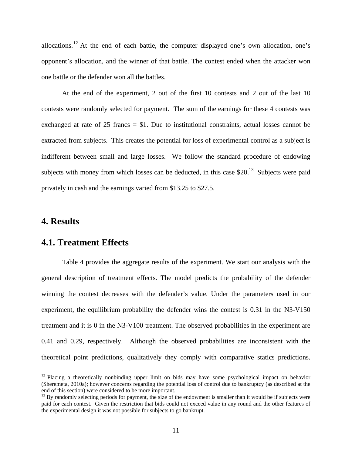allocations.<sup>12</sup> At the end of each battle, the computer displayed one's own allocation, one's opponent's allocation, and the winner of that battle. The contest ended when the attacker won one battle or the defender won all the battles.

At the end of the experiment, 2 out of the first 10 contests and 2 out of the last 10 contests were randomly selected for payment. The sum of the earnings for these 4 contests was exchanged at rate of  $25$  francs  $= $1$ . Due to institutional constraints, actual losses cannot be extracted from subjects. This creates the potential for loss of experimental control as a subject is indifferent between small and large losses. We follow the standard procedure of endowing subjects with money from which losses can be deducted, in this case  $$20<sup>13</sup>$  Subjects were paid privately in cash and the earnings varied from \$13.25 to \$27.5.

# **4. Results**

 $\overline{a}$ 

## **4.1. Treatment Effects**

Table 4 provides the aggregate results of the experiment. We start our analysis with the general description of treatment effects. The model predicts the probability of the defender winning the contest decreases with the defender's value. Under the parameters used in our experiment, the equilibrium probability the defender wins the contest is 0.31 in the N3-V150 treatment and it is 0 in the N3-V100 treatment. The observed probabilities in the experiment are 0.41 and 0.29, respectively. Although the observed probabilities are inconsistent with the theoretical point predictions, qualitatively they comply with comparative statics predictions.

 $12$  Placing a theoretically nonbinding upper limit on bids may have some psychological impact on behavior (Sheremeta, 2010a); however concerns regarding the potential loss of control due to bankruptcy (as described at the end of this section) were considered to be more important.

 $13$  By randomly selecting periods for payment, the size of the endowment is smaller than it would be if subjects were paid for each contest. Given the restriction that bids could not exceed value in any round and the other features of the experimental design it was not possible for subjects to go bankrupt.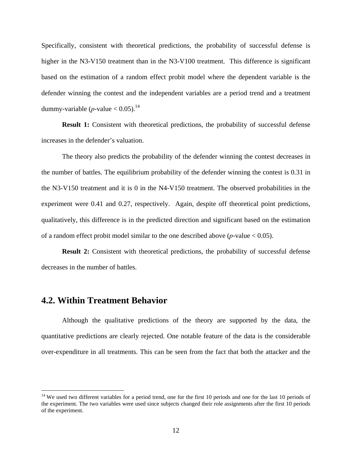Specifically, consistent with theoretical predictions, the probability of successful defense is higher in the N3-V150 treatment than in the N3-V100 treatment. This difference is significant based on the estimation of a random effect probit model where the dependent variable is the defender winning the contest and the independent variables are a period trend and a treatment dummy-variable  $(p$ -value  $< 0.05$ ).<sup>14</sup>

**Result 1:** Consistent with theoretical predictions, the probability of successful defense increases in the defender's valuation.

The theory also predicts the probability of the defender winning the contest decreases in the number of battles. The equilibrium probability of the defender winning the contest is 0.31 in the N3-V150 treatment and it is 0 in the N4-V150 treatment. The observed probabilities in the experiment were 0.41 and 0.27, respectively. Again, despite off theoretical point predictions, qualitatively, this difference is in the predicted direction and significant based on the estimation of a random effect probit model similar to the one described above  $(p$ -value  $< 0.05)$ .

**Result 2:** Consistent with theoretical predictions, the probability of successful defense decreases in the number of battles.

# **4.2. Within Treatment Behavior**

 $\overline{a}$ 

Although the qualitative predictions of the theory are supported by the data, the quantitative predictions are clearly rejected. One notable feature of the data is the considerable over-expenditure in all treatments. This can be seen from the fact that both the attacker and the

 $14$  We used two different variables for a period trend, one for the first 10 periods and one for the last 10 periods of the experiment. The two variables were used since subjects changed their role assignments after the first 10 periods of the experiment.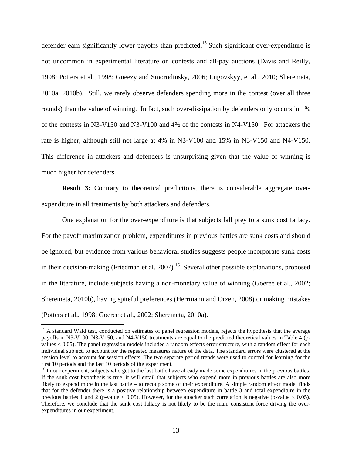defender earn significantly lower payoffs than predicted.<sup>15</sup> Such significant over-expenditure is not uncommon in experimental literature on contests and all-pay auctions (Davis and Reilly, 1998; Potters et al., 1998; Gneezy and Smorodinsky, 2006; Lugovskyy, et al., 2010; Sheremeta, 2010a, 2010b). Still, we rarely observe defenders spending more in the contest (over all three rounds) than the value of winning. In fact, such over-dissipation by defenders only occurs in 1% of the contests in N3-V150 and N3-V100 and 4% of the contests in N4-V150. For attackers the rate is higher, although still not large at 4% in N3-V100 and 15% in N3-V150 and N4-V150. This difference in attackers and defenders is unsurprising given that the value of winning is much higher for defenders.

**Result 3:** Contrary to theoretical predictions, there is considerable aggregate overexpenditure in all treatments by both attackers and defenders.

One explanation for the over-expenditure is that subjects fall prey to a sunk cost fallacy. For the payoff maximization problem, expenditures in previous battles are sunk costs and should be ignored, but evidence from various behavioral studies suggests people incorporate sunk costs in their decision-making (Friedman et al. 2007).<sup>16</sup> Several other possible explanations, proposed in the literature, include subjects having a non-monetary value of winning (Goeree et al., 2002; Sheremeta, 2010b), having spiteful preferences (Herrmann and Orzen, 2008) or making mistakes (Potters et al., 1998; Goeree et al., 2002; Sheremeta, 2010a).

 $\overline{a}$ 

<sup>&</sup>lt;sup>15</sup> A standard Wald test, conducted on estimates of panel regression models, rejects the hypothesis that the average payoffs in N3-V100, N3-V150, and N4-V150 treatments are equal to the predicted theoretical values in Table 4 (pvalues < 0.05). The panel regression models included a random effects error structure, with a random effect for each individual subject, to account for the repeated measures nature of the data. The standard errors were clustered at the session level to account for session effects. The two separate period trends were used to control for learning for the first 10 periods and the last 10 periods of the experiment.

<sup>&</sup>lt;sup>16</sup> In our experiment, subjects who get to the last battle have already made some expenditures in the previous battles. If the sunk cost hypothesis is true, it will entail that subjects who expend more in previous battles are also more likely to expend more in the last battle – to recoup some of their expenditure. A simple random effect model finds that for the defender there is a positive relationship between expenditure in battle 3 and total expenditure in the previous battles 1 and 2 (p-value  $< 0.05$ ). However, for the attacker such correlation is negative (p-value  $< 0.05$ ). Therefore, we conclude that the sunk cost fallacy is not likely to be the main consistent force driving the overexpenditures in our experiment.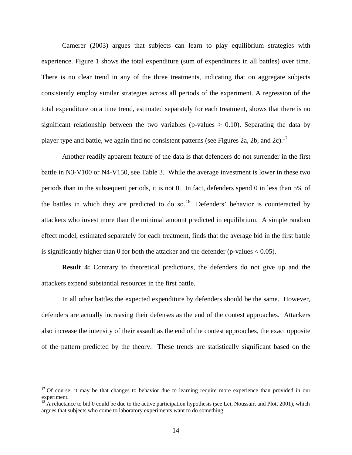Camerer (2003) argues that subjects can learn to play equilibrium strategies with experience. Figure 1 shows the total expenditure (sum of expenditures in all battles) over time. There is no clear trend in any of the three treatments, indicating that on aggregate subjects consistently employ similar strategies across all periods of the experiment. A regression of the total expenditure on a time trend, estimated separately for each treatment, shows that there is no significant relationship between the two variables (p-values  $> 0.10$ ). Separating the data by player type and battle, we again find no consistent patterns (see Figures 2a, 2b, and 2c).<sup>17</sup>

Another readily apparent feature of the data is that defenders do not surrender in the first battle in N3-V100 or N4-V150, see Table 3. While the average investment is lower in these two periods than in the subsequent periods, it is not 0. In fact, defenders spend 0 in less than 5% of the battles in which they are predicted to do so.<sup>18</sup> Defenders' behavior is counteracted by attackers who invest more than the minimal amount predicted in equilibrium. A simple random effect model, estimated separately for each treatment, finds that the average bid in the first battle is significantly higher than 0 for both the attacker and the defender (p-values  $< 0.05$ ).

**Result 4:** Contrary to theoretical predictions, the defenders do not give up and the attackers expend substantial resources in the first battle.

In all other battles the expected expenditure by defenders should be the same. However, defenders are actually increasing their defenses as the end of the contest approaches. Attackers also increase the intensity of their assault as the end of the contest approaches, the exact opposite of the pattern predicted by the theory. These trends are statistically significant based on the

 $\overline{a}$ 

 $17$  Of course, it may be that changes to behavior due to learning require more experience than provided in our experiment.

 $18$  A reluctance to bid 0 could be due to the active participation hypothesis (see Lei, Noussair, and Plott 2001), which argues that subjects who come to laboratory experiments want to do something.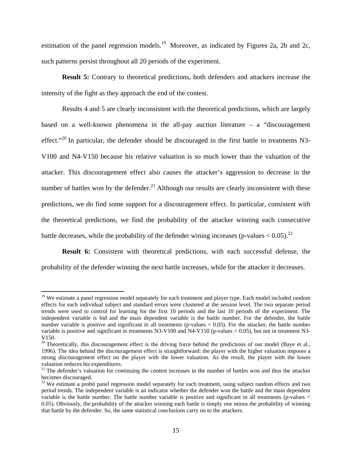estimation of the panel regression models.<sup>19</sup> Moreover, as indicated by Figures 2a, 2b and 2c, such patterns persist throughout all 20 periods of the experiment.

**Result 5:** Contrary to theoretical predictions, both defenders and attackers increase the intensity of the fight as they approach the end of the contest.

Results 4 and 5 are clearly inconsistent with the theoretical predictions, which are largely based on a well-known phenomena in the all-pay auction literature – a "discouragement effect."<sup>20</sup> In particular, the defender should be discouraged in the first battle in treatments N3-V100 and N4-V150 because his relative valuation is so much lower than the valuation of the attacker. This discouragement effect also causes the attacker's aggression to decrease in the number of battles won by the defender.<sup>21</sup> Although our results are clearly inconsistent with these predictions, we do find some support for a discouragement effect. In particular, consistent with the theoretical predictions, we find the probability of the attacker winning each consecutive battle decreases, while the probability of the defender wining increases (p-values  $< 0.05$ ).<sup>22</sup>

**Result 6:** Consistent with theoretical predictions, with each successful defense, the probability of the defender winning the next battle increases, while for the attacker it decreases.

1

<sup>&</sup>lt;sup>19</sup> We estimate a panel regression model separately for each treatment and player type. Each model included random effects for each individual subject and standard errors were clustered at the session level. The two separate period trends were used to control for learning for the first 10 periods and the last 10 periods of the experiment. The independent variable is bid and the main dependent variable is the battle number. For the defender, the battle number variable is positive and significant in all treatments (p-values  $< 0.05$ ). For the attacker, the battle number variable is positive and significant in treatments N3-V100 and N4-V150 (p-values  $< 0.05$ ), but not in treatment N3-V150.

 $20$  Theoretically, this discouragement effect is the driving force behind the predictions of our model (Baye et al., 1996). The idea behind the discouragement effect is straightforward: the player with the higher valuation imposes a strong discouragement effect on the player with the lower valuation. As the result, the player with the lower valuation reduces his expenditures.

 $21$  The defender's valuation for continuing the contest increases in the number of battles won and thus the attacker becomes discouraged.

<sup>&</sup>lt;sup>22</sup> We estimate a probit panel regression model separately for each treatment, using subject random effects and two period trends. The independent variable is an indicator whether the defender won the battle and the main dependent variable is the battle number. The battle number variable is positive and significant in all treatments (p-values < 0.05). Obviously, the probability of the attacker winning each battle is simply one minus the probability of winning that battle by the defender. So, the same statistical conclusions carry on to the attackers.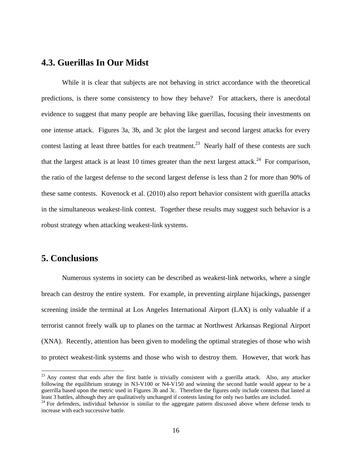#### **4.3. Guerillas In Our Midst**

While it is clear that subjects are not behaving in strict accordance with the theoretical predictions, is there some consistency to how they behave? For attackers, there is anecdotal evidence to suggest that many people are behaving like guerillas, focusing their investments on one intense attack. Figures 3a, 3b, and 3c plot the largest and second largest attacks for every contest lasting at least three battles for each treatment.<sup>23</sup> Nearly half of these contests are such that the largest attack is at least 10 times greater than the next largest attack.<sup>24</sup> For comparison, the ratio of the largest defense to the second largest defense is less than 2 for more than 90% of these same contests. Kovenock et al. (2010) also report behavior consistent with guerilla attacks in the simultaneous weakest-link contest. Together these results may suggest such behavior is a robust strategy when attacking weakest-link systems.

# **5. Conclusions**

 $\overline{a}$ 

Numerous systems in society can be described as weakest-link networks, where a single breach can destroy the entire system. For example, in preventing airplane hijackings, passenger screening inside the terminal at Los Angeles International Airport (LAX) is only valuable if a terrorist cannot freely walk up to planes on the tarmac at Northwest Arkansas Regional Airport (XNA). Recently, attention has been given to modeling the optimal strategies of those who wish to protect weakest-link systems and those who wish to destroy them. However, that work has

<sup>&</sup>lt;sup>23</sup> Any contest that ends after the first battle is trivially consistent with a guerilla attack. Also, any attacker following the equilibrium strategy in N3-V100 or N4-V150 and winning the second battle would appear to be a guerrilla based upon the metric used in Figures 3b and 3c. Therefore the figures only include contests that lasted at least 3 battles, although they are qualitatively unchanged if contests lasting for only two battles are included.

 $24$  For defenders, individual behavior is similar to the aggregate pattern discussed above where defense tends to increase with each successive battle.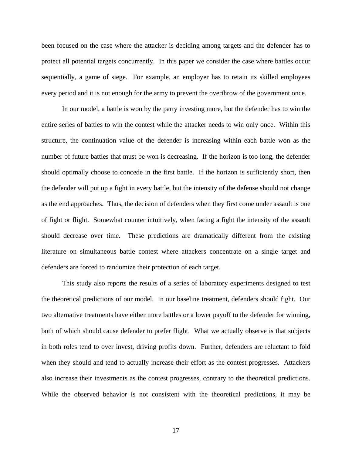been focused on the case where the attacker is deciding among targets and the defender has to protect all potential targets concurrently. In this paper we consider the case where battles occur sequentially, a game of siege. For example, an employer has to retain its skilled employees every period and it is not enough for the army to prevent the overthrow of the government once.

In our model, a battle is won by the party investing more, but the defender has to win the entire series of battles to win the contest while the attacker needs to win only once. Within this structure, the continuation value of the defender is increasing within each battle won as the number of future battles that must be won is decreasing. If the horizon is too long, the defender should optimally choose to concede in the first battle. If the horizon is sufficiently short, then the defender will put up a fight in every battle, but the intensity of the defense should not change as the end approaches. Thus, the decision of defenders when they first come under assault is one of fight or flight. Somewhat counter intuitively, when facing a fight the intensity of the assault should decrease over time. These predictions are dramatically different from the existing literature on simultaneous battle contest where attackers concentrate on a single target and defenders are forced to randomize their protection of each target.

 This study also reports the results of a series of laboratory experiments designed to test the theoretical predictions of our model. In our baseline treatment, defenders should fight. Our two alternative treatments have either more battles or a lower payoff to the defender for winning, both of which should cause defender to prefer flight. What we actually observe is that subjects in both roles tend to over invest, driving profits down. Further, defenders are reluctant to fold when they should and tend to actually increase their effort as the contest progresses. Attackers also increase their investments as the contest progresses, contrary to the theoretical predictions. While the observed behavior is not consistent with the theoretical predictions, it may be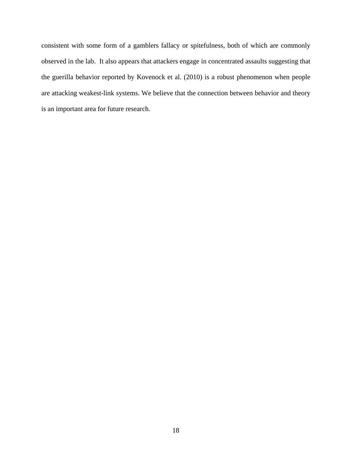consistent with some form of a gamblers fallacy or spitefulness, both of which are commonly observed in the lab. It also appears that attackers engage in concentrated assaults suggesting that the guerilla behavior reported by Kovenock et al. (2010) is a robust phenomenon when people are attacking weakest-link systems. We believe that the connection between behavior and theory is an important area for future research.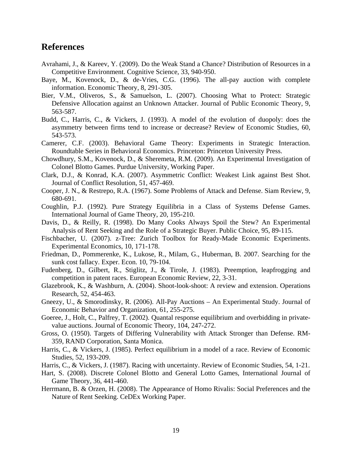# **References**

- Avrahami, J., & Kareev, Y. (2009). Do the Weak Stand a Chance? Distribution of Resources in a Competitive Environment. Cognitive Science, 33, 940-950.
- Baye, M., Kovenock, D., & de-Vries, C.G. (1996). The all-pay auction with complete information. Economic Theory, 8, 291-305.
- Bier, V.M., Oliveros, S., & Samuelson, L. (2007). Choosing What to Protect: Strategic Defensive Allocation against an Unknown Attacker. Journal of Public Economic Theory, 9, 563-587.
- Budd, C., Harris, C., & Vickers, J. (1993). A model of the evolution of duopoly: does the asymmetry between firms tend to increase or decrease? Review of Economic Studies, 60, 543-573.
- Camerer, C.F. (2003). Behavioral Game Theory: Experiments in Strategic Interaction. Roundtable Series in Behavioral Economics. Princeton: Princeton University Press.
- Chowdhury, S.M., Kovenock, D., & Sheremeta, R.M. (2009). An Experimental Investigation of Colonel Blotto Games. Purdue University, Working Paper.
- Clark, D.J., & Konrad, K.A. (2007). Asymmetric Conflict: Weakest Link against Best Shot. Journal of Conflict Resolution, 51, 457-469.
- Cooper, J. N., & Restrepo, R.A. (1967). Some Problems of Attack and Defense. Siam Review, 9, 680-691.
- Coughlin, P.J. (1992). Pure Strategy Equilibria in a Class of Systems Defense Games. International Journal of Game Theory, 20, 195-210.
- Davis, D., & Reilly, R. (1998). Do Many Cooks Always Spoil the Stew? An Experimental Analysis of Rent Seeking and the Role of a Strategic Buyer. Public Choice, 95, 89-115.
- Fischbacher, U. (2007). z-Tree: Zurich Toolbox for Ready-Made Economic Experiments. Experimental Economics, 10, 171-178.
- Friedman, D., Pommerenke, K., Lukose, R., Milam, G., Huberman, B. 2007. Searching for the sunk cost fallacy. Exper. Econ. 10, 79-104.
- Fudenberg, D., Gilbert, R., Stiglitz, J., & Tirole, J. (1983). Preemption, leapfrogging and competition in patent races. European Economic Review, 22, 3-31.
- Glazebrook, K., & Washburn, A. (2004). Shoot-look-shoot: A review and extension. Operations Research, 52, 454-463.
- Gneezy, U., & Smorodinsky, R. (2006). All-Pay Auctions An Experimental Study. Journal of Economic Behavior and Organization, 61, 255-275.
- Goeree, J., Holt, C., Palfrey, T. (2002). Quantal response equilibrium and overbidding in privatevalue auctions. Journal of Economic Theory, 104, 247-272.
- Gross, O. (1950). Targets of Differing Vulnerability with Attack Stronger than Defense. RM-359, RAND Corporation, Santa Monica.
- Harris, C., & Vickers, J. (1985). Perfect equilibrium in a model of a race. Review of Economic Studies, 52, 193-209.
- Harris, C., & Vickers, J. (1987). Racing with uncertainty. Review of Economic Studies, 54, 1-21.
- Hart, S. (2008). Discrete Colonel Blotto and General Lotto Games, International Journal of Game Theory, 36, 441-460.
- Herrmann, B. & Orzen, H. (2008). The Appearance of Homo Rivalis: Social Preferences and the Nature of Rent Seeking. CeDEx Working Paper.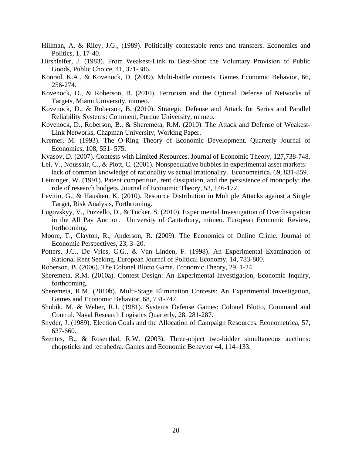- Hillman, A. & Riley, J.G., (1989). Politically contestable rents and transfers. Economics and Politics, 1, 17-40.
- Hirshleifer, J. (1983). From Weakest-Link to Best-Shot: the Voluntary Provision of Public Goods, Public Choice, 41, 371-386.
- Konrad, K.A., & Kovenock, D. (2009). Multi-battle contests. Games Economic Behavior, 66, 256-274.
- Kovenock, D., & Roberson, B. (2010). Terrorism and the Optimal Defense of Networks of Targets, Miami University, mimeo.
- Kovenock, D., & Roberson, B. (2010). Strategic Defense and Attack for Series and Parallel Reliability Systems: Comment, Purdue University, mimeo.
- Kovenock, D., Roberson, B., & Sheremeta, R.M. (2010). The Attack and Defense of Weakest-Link Networks, Chapman University, Working Paper.
- Kremer, M. (1993). The O-Ring Theory of Economic Development. Quarterly Journal of Economics, 108, 551- 575.
- Kvasov, D. (2007). Contests with Limited Resources. Journal of Economic Theory, 127,738-748.
- Lei, V., Noussair, C., & Plott, C. (2001). Nonspeculative bubbles in experimental asset markets: lack of common knowledge of rationality vs actual irrationality. Econometrica, 69, 831-859.
- Leininger, W. (1991). Patent competition, rent dissipation, and the persistence of monopoly: the role of research budgets. Journal of Economic Theory, 53, 146-172.
- Levitin, G., & Hausken, K. (2010). Resource Distribution in Multiple Attacks against a Single Target, Risk Analysis, Forthcoming.
- Lugovskyy, V., Puzzello, D., & Tucker, S. (2010). Experimental Investigation of Overdissipation in the All Pay Auction. University of Canterbury, mimeo. European Economic Review, forthcoming.
- Moore, T., Clayton, R., Anderson, R. (2009). The Economics of Online Crime. Journal of Economic Perspectives, 23, 3–20.
- Potters, J.C., De Vries, C.G., & Van Linden, F. (1998). An Experimental Examination of Rational Rent Seeking. European Journal of Political Economy, 14, 783-800.
- Roberson, B. (2006). The Colonel Blotto Game. Economic Theory, 29, 1-24.
- Sheremeta, R.M. (2010a). Contest Design: An Experimental Investigation, Economic Inquiry, forthcoming.
- Sheremeta, R.M. (2010b). Multi-Stage Elimination Contests: An Experimental Investigation, Games and Economic Behavior, 68, 731-747.
- Shubik, M. & Weber, R.J. (1981). Systems Defense Games: Colonel Blotto, Command and Control. Naval Research Logistics Quarterly, 28, 281-287.
- Snyder, J. (1989). Election Goals and the Allocation of Campaign Resources. Econometrica, 57, 637-660.
- Szentes, B., & Rosenthal, R.W. (2003). Three-object two-bidder simultaneous auctions: chopsticks and tetrahedra. Games and Economic Behavior 44, 114–133.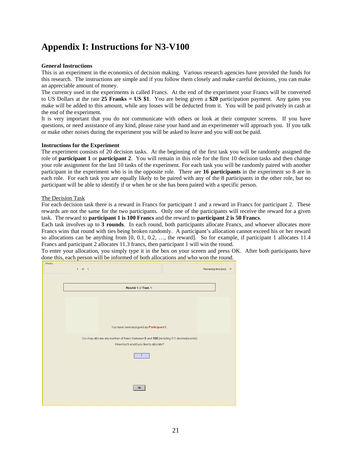# Appendix I: Instructions for N3-V100

#### **General Instructions**

This is an experiment in the economics of decision making. Various research agencies have provided the funds for this research. The instructions are simple and if you follow them closely and make careful decisions, you can make an appreciable amount of money.

The currency used in the experiments is called Francs. At the end of the experiment your Francs will be converted to US Dollars at the rate 25 Franks = US \$1. You are being given a \$20 participation payment. Any gains you make will be added to this amount, while any losses will be deducted from it. You will be paid privately in cash at the end of the experiment.

It is very important that you do not communicate with others or look at their computer screens. If you have questions, or need assistance of any kind, please raise your hand and an experimenter will approach you. If you talk or make other noises during the experiment you will be asked to leave and you will not be paid.

#### **Instructions for the Experiment**

The experiment consists of 20 decision tasks. At the beginning of the first task you will be randomly assigned the role of **participant 1** or **participant 2**. You will remain in this role for the first 10 decision tasks and then change your role assignment for the last 10 tasks of the experiment. For each task you will be randomly paired with another participant in the experiment who is in the opposite role. There are 16 participants in the experiment so 8 are in each role. For each task you are equally likely to be paired with any of the 8 participants in the other role, but no participant will be able to identify if or when he or she has been paired with a specific person.

#### The Decision Task

For each decision task there is a reward in Francs for participant 1 and a reward in Francs for participant 2. These rewards are not the same for the two participants. Only one of the participants will receive the reward for a given task. The reward to **participant 1 is 100 Francs** and the reward to **participant 2 is 50 Francs**.

Each task involves up to 3 rounds. In each round, both participants allocate Francs, and whoever allocates more Francs wins that round with ties being broken randomly. A participant's allocation cannot exceed his or her reward so allocations can be anything from  $[0, 0.1, 0.2, \ldots]$ , the reward]. So for example, if participant 1 allocates 11.4 Francs and participant 2 allocates 11.3 francs, then participant 1 will win the round.

To enter your allocation, you simply type it in the box on your screen and press OK. After both participants have done this, each person will be informed of both allocations and who won the round.

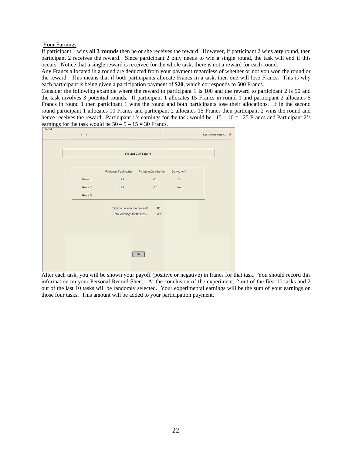#### Your Earnings

If participant 1 wins all 3 rounds then he or she receives the reward. However, if participant 2 wins any round, then participant 2 receives the reward. Since participant 2 only needs to win a single round, the task will end if this occurs. Notice that a single reward is received for the whole task; there is not a reward for each round.

Any Francs allocated in a round are deducted from your payment regardless of whether or not you won the round or the reward. This means that if both participants allocate Francs in a task, then one will lose Francs. This is why each participant is being given a participation payment of \$20, which corresponds to 500 Francs.

Consider the following example where the reward to participant 1 is 100 and the reward to participant 2 is 50 and the task involves 3 potential rounds. If participant 1 allocates 15 Francs in round 1 and participant 2 allocates 5 Francs in round 1 then participant 1 wins the round and both participants lose their allocations. If in the second round participant 1 allocates 10 Francs and participant 2 allocates 15 Francs then participant 2 wins the round and hence receives the reward. Participant 1's earnings for the task would be  $-15 - 10 = -25$  Francs and Participant 2's earnings for the task would be  $50 - 5 - 15 = 30$  Francs.



After each task, you will be shown your payoff (positive or negative) in francs for that task. You should record this information on your Personal Record Sheet. At the conclusion of the experiment, 2 out of the first 10 tasks and 2 out of the last 10 tasks will be randomly selected. Your experimental earnings will be the sum of your earnings on those four tasks. This amount will be added to your participation payment.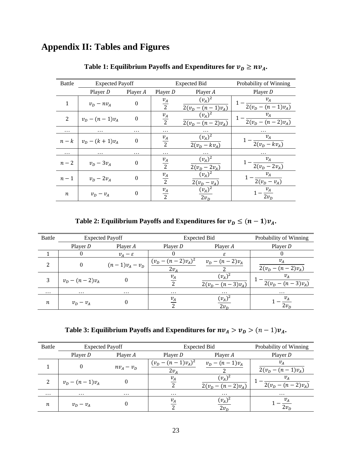# **Appendix II: Tables and Figures**

| Battle           | <b>Expected Payoff</b> |          |                 | Expected Bid                                        | Probability of Winning             |  |  |
|------------------|------------------------|----------|-----------------|-----------------------------------------------------|------------------------------------|--|--|
|                  | Player $D$             | Player A | Player $D$      | Player A                                            | Player $D$                         |  |  |
| $\mathbf{1}$     | $v_D - nv_A$           | $\theta$ | $\frac{v_A}{2}$ | $(v_A)^2$<br>$2(v_D - (n-1)v_A)$                    | $v_A$<br>$2(v_p - (n-1)v_A)$       |  |  |
| 2                | $v_D - (n-1)v_A$       | $\theta$ | $\frac{v_A}{2}$ | $(v_{A})^{2}$<br>$2(v_D - (n-2)v_A)$                | $v_A$<br>$2(v_D - (n-2)v_A)$       |  |  |
| $\ddotsc$        | $\cdots$               | .        | .               | .                                                   | .                                  |  |  |
| $n-k$            | $v_D - (k+1)v_A$       | $\theta$ | $\frac{v_A}{2}$ | $(v_A)^2$<br>$2(v_D - kv_A)$                        | $v_A$<br>$\frac{1}{2(v_D - kv_A)}$ |  |  |
| $\cdots$         | $\cdots$               | .        | $\cdots$        |                                                     | .                                  |  |  |
| $n-2$            | $v_D - 3v_A$           | $\theta$ | $\frac{v_A}{2}$ | $(v_A)^2$<br>$2(v_D - 2v_A)$                        | $v_A$<br>$\sqrt{2(v_D - 2v_A)}$    |  |  |
| $n-1$            | $v_D - 2v_A$           | $\theta$ | $\frac{v_A}{2}$ | $(v_A)^2$<br>$2(\underline{v}_D - \underline{v}_A)$ | $v_{\!A}$<br>$2(v_D - v_A)$        |  |  |
| $\boldsymbol{n}$ | $v_D - v_A$            | $\theta$ | $\frac{v_A}{2}$ | $(v_A)^2$<br>$2v_D$                                 | $-\frac{v_A}{2v_D}$                |  |  |

Table 1: Equilibrium Payoffs and Expenditures for  $v_D \geq nv_A$ .

**Table 2: Equilibrium Payoffs and Expenditures for**  $v_D \leq (n-1)v_A$ **.** 

| <b>Battle</b> |                      | <b>Expected Payoff</b> | Expected Bid                                                                 | Probability of Winning                   |                              |  |
|---------------|----------------------|------------------------|------------------------------------------------------------------------------|------------------------------------------|------------------------------|--|
|               | Player D             | Player A               | Player D                                                                     | Player A                                 | Player $D$                   |  |
|               |                      | $v_{A}-\varepsilon$    |                                                                              | ε                                        |                              |  |
| 2             |                      |                        | $(n-1)v_A - v_D \mid \frac{(v_D - (n-2)v_A)^2}{(n-2)v_A}$<br>2v <sub>4</sub> | $v_D - (n-2)v_A$                         | $v_A$<br>$2(v_D - (n-2)v_A)$ |  |
| 3             | $v_{D} - (n-2)v_{A}$ |                        | $v_A$                                                                        | $(v_A)^2$<br>$-(n-3)v_{A}$ )<br>$2(v_D)$ | $v_A$<br>$2(v_D - (n-3)v_A)$ |  |
| $\cdots$      | $\cdots$             | $\cdots$               | $\cdots$                                                                     | $\cdots$                                 | $\cdots$                     |  |
| n             | $v_D - v_A$          |                        | $v_A$                                                                        | $(v_A)^2$<br>2v <sub>D</sub>             | $\cdot \frac{v_A}{2v_D}$     |  |

**Table 3: Equilibrium Payoffs and Expenditures for**  $nv_A > v_D > (n-1)v_A$ **.** 

| Battle   | <b>Expected Payoff</b> |              | <b>Expected Bid</b>            | Probability of Winning           |                              |  |
|----------|------------------------|--------------|--------------------------------|----------------------------------|------------------------------|--|
|          | Player $D$             | Player A     | Player $D$                     | Player A                         | Player $D$                   |  |
|          |                        | $nv_A - v_D$ | $(v_D - (n-1)v_A)^2$<br>$2v_4$ | $v_D - (n-1)v_A$                 | $v_A$<br>$2(v_D - (n-1)v_A)$ |  |
| 2        | $v_D - (n-1)v_A$       |              | $v_A$                          | $(v_A)^2$<br>$2(v_n - (n-2)v_A)$ | $v_A$<br>$2(v_D - (n-2)v_A)$ |  |
| $\cdots$ | $\cdots$               | $\cdots$     | $\cdots$                       | $\cdots$                         | $\cdots$                     |  |
| п        | $v_D - v_A$            |              | $v_A$                          | $(v_A)^2$<br>$2v_{\rm D}$        | $\overline{2v_D}$            |  |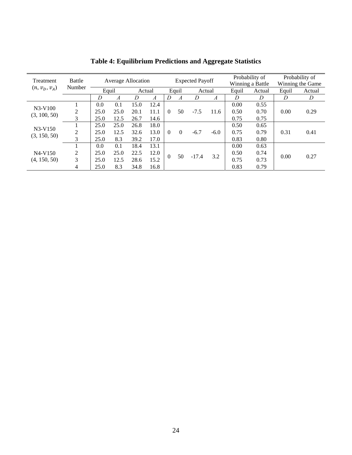| Treatment                 | Battle<br>Number | Average Allocation |      |        | <b>Expected Payoff</b> |          |          | Probability of<br>Winning a Battle |                  | Probability of<br>Winning the Game |        |       |        |
|---------------------------|------------------|--------------------|------|--------|------------------------|----------|----------|------------------------------------|------------------|------------------------------------|--------|-------|--------|
| $(n, v_D, v_A)$           |                  | Equil              |      | Actual |                        |          | Equil    | Actual                             |                  | Equil                              | Actual | Equil | Actual |
|                           |                  | D                  | A    | D      | A                      | D        | А        | D                                  | $\boldsymbol{A}$ | D                                  | D      | D     | D      |
| $N3-V100$                 |                  | 0.0                | 0.1  | 15.0   | 12.4                   |          |          |                                    |                  | 0.00                               | 0.55   |       |        |
| (3, 100, 50)              | 2                | 25.0               | 25.0 | 20.1   | 11.1                   | $\Omega$ | 50       | $-7.5$                             | 11.6             | 0.50                               | 0.70   | 0.00  | 0.29   |
|                           | 3                | 25.0               | 12.5 | 26.7   | 14.6                   |          |          |                                    |                  | 0.75                               | 0.75   |       |        |
|                           |                  | 25.0               | 25.0 | 26.8   | 18.0                   |          |          |                                    |                  | 0.50                               | 0.65   |       |        |
| $N3-V150$<br>(3, 150, 50) | $\overline{2}$   | 25.0               | 12.5 | 32.6   | 13.0                   | $\Omega$ | $\Omega$ | $-6.7$                             | $-6.0$           | 0.75                               | 0.79   | 0.31  | 0.41   |
|                           | 3                | 25.0               | 8.3  | 39.2   | 17.0                   |          |          |                                    |                  | 0.83                               | 0.80   |       |        |
|                           |                  | 0.0                | 0.1  | 18.4   | 13.1                   | $\theta$ | 50       | $-17.4$                            | 3.2              | 0.00                               | 0.63   | 0.00  | 0.27   |
| $N4-V150$                 | 2                | 25.0               | 25.0 | 22.5   | 12.0                   |          |          |                                    |                  | 0.50                               | 0.74   |       |        |
| (4, 150, 50)              | 3                | 25.0               | 12.5 | 28.6   | 15.2                   |          |          |                                    |                  | 0.75                               | 0.73   |       |        |
|                           | 4                | 25.0               | 8.3  | 34.8   | 16.8                   |          |          |                                    |                  | 0.83                               | 0.79   |       |        |

**Table 4: Equilibrium Predictions and Aggregate Statistics**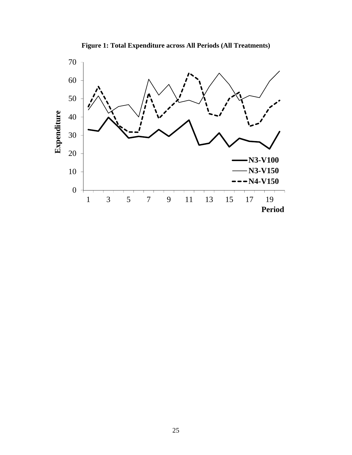

**Figure 1: Total Expenditure across All Periods (All Treatments)**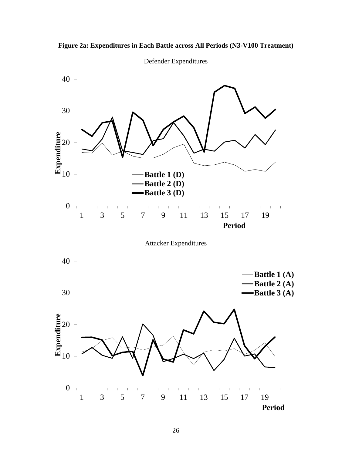



Defender Expenditures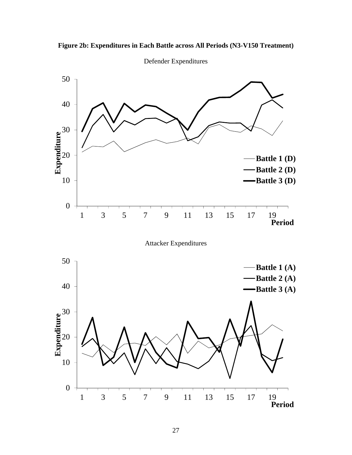



Defender Expenditures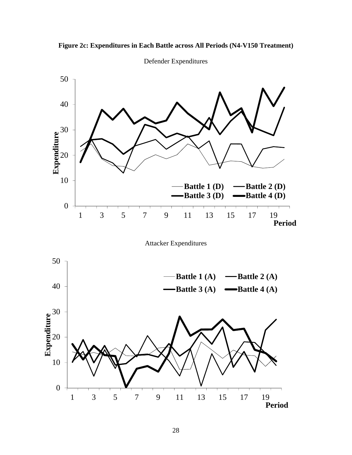



Defender Expenditures

Attacker Expenditures

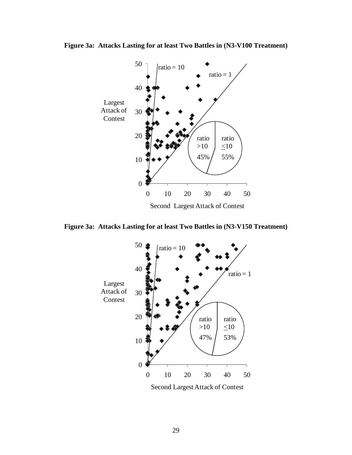

**Figure 3a: Attacks Lasting for at least Two Battles in (N3-V100 Treatment)**

Second Largest Attack of Contest

**Figure 3a: Attacks Lasting for at least Two Battles in (N3-V150 Treatment)** 

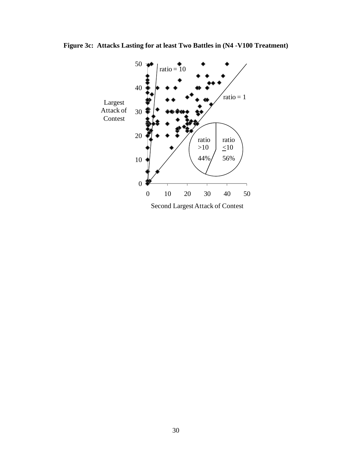

**Figure 3c: Attacks Lasting for at least Two Battles in (N4 -V100 Treatment)**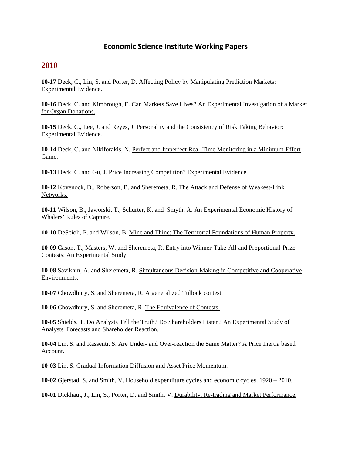### **Economic Science Institute Working Papers**

#### **2010**

**10-17** Deck, C., Lin, S. and Porter, D. Affecting Policy by Manipulating Prediction Markets: Experimental Evidence.

**10-16** Deck, C. and Kimbrough, E. Can Markets Save Lives? An Experimental Investigation of a Market for Organ Donations.

**10-15** Deck, C., Lee, J. and Reyes, J. Personality and the Consistency of Risk Taking Behavior: Experimental Evidence.

**10-14** Deck, C. and Nikiforakis, N. Perfect and Imperfect Real-Time Monitoring in a Minimum-Effort Game.

**10-13** Deck, C. and Gu, J. Price Increasing Competition? Experimental Evidence.

**10-12** Kovenock, D., Roberson, B.,and Sheremeta, R. The Attack and Defense of Weakest-Link Networks.

**10-11** Wilson, B., Jaworski, T., Schurter, K. and Smyth, A. An Experimental Economic History of Whalers' Rules of Capture.

**10-10** DeScioli, P. and Wilson, B. Mine and Thine: The Territorial Foundations of Human Property.

**10-09** Cason, T., Masters, W. and Sheremeta, R. Entry into Winner-Take-All and Proportional-Prize Contests: An Experimental Study.

**10-08** Savikhin, A. and Sheremeta, R. Simultaneous Decision-Making in Competitive and Cooperative Environments.

**10-07** Chowdhury, S. and Sheremeta, R. A generalized Tullock contest.

**10-06** Chowdhury, S. and Sheremeta, R. The Equivalence of Contests.

**10-05** Shields, T. Do Analysts Tell the Truth? Do Shareholders Listen? An Experimental Study of Analysts' Forecasts and Shareholder Reaction.

**10-04** Lin, S. and Rassenti, S. Are Under- and Over-reaction the Same Matter? A Price Inertia based Account.

**10-03** Lin, S. Gradual Information Diffusion and Asset Price Momentum.

**10-02** Gjerstad, S. and Smith, V. Household expenditure cycles and economic cycles, 1920 – 2010.

**10-01** Dickhaut, J., Lin, S., Porter, D. and Smith, V. Durability, Re-trading and Market Performance.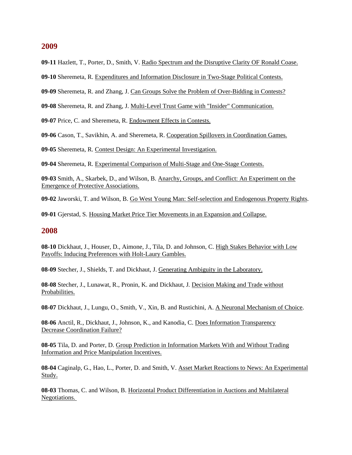#### **2009**

**09-11** Hazlett, T., Porter, D., Smith, V. Radio Spectrum and the Disruptive Clarity OF Ronald Coase.

**09-10** Sheremeta, R. Expenditures and Information Disclosure in Two-Stage Political Contests.

**09-09** Sheremeta, R. and Zhang, J. Can Groups Solve the Problem of Over-Bidding in Contests?

**09-08** Sheremeta, R. and Zhang, J. Multi-Level Trust Game with "Insider" Communication.

**09-07** Price, C. and Sheremeta, R. Endowment Effects in Contests.

**09-06** Cason, T., Savikhin, A. and Sheremeta, R. Cooperation Spillovers in Coordination Games.

**09-05** Sheremeta, R. Contest Design: An Experimental Investigation.

**09-04** Sheremeta, R. Experimental Comparison of Multi-Stage and One-Stage Contests.

**09-03** Smith, A., Skarbek, D., and Wilson, B. Anarchy, Groups, and Conflict: An Experiment on the Emergence of Protective Associations.

**09-02** Jaworski, T. and Wilson, B. Go West Young Man: Self-selection and Endogenous Property Rights.

**09-01** Gjerstad, S. Housing Market Price Tier Movements in an Expansion and Collapse.

#### **2008**

**08-10** Dickhaut, J., Houser, D., Aimone, J., Tila, D. and Johnson, C. High Stakes Behavior with Low Payoffs: Inducing Preferences with Holt-Laury Gambles.

**08-09** Stecher, J., Shields, T. and Dickhaut, J. Generating Ambiguity in the Laboratory.

**08-08** Stecher, J., Lunawat, R., Pronin, K. and Dickhaut, J*.* Decision Making and Trade without Probabilities.

**08-07** Dickhaut, J., Lungu, O., Smith, V., Xin, B. and Rustichini, A. A Neuronal Mechanism of Choice.

**08-06** Anctil, R., Dickhaut, J., Johnson, K., and Kanodia, C. Does Information Transparency Decrease Coordination Failure?

**08-05** Tila, D. and Porter, D. Group Prediction in Information Markets With and Without Trading Information and Price Manipulation Incentives.

**08-04** Caginalp, G., Hao, L., Porter, D. and Smith, V. Asset Market Reactions to News: An Experimental Study.

**08-03** Thomas, C. and Wilson, B. Horizontal Product Differentiation in Auctions and Multilateral Negotiations.